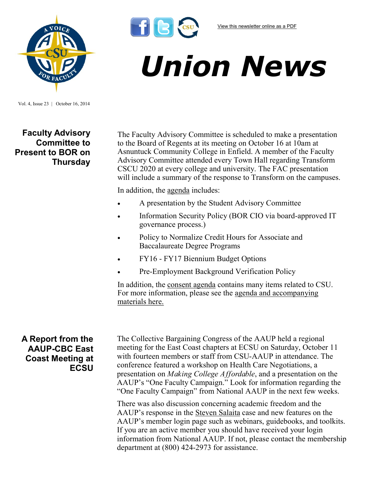

## *Union News*

Vol. 4, Issue 23 | October 16, 2014

**Faculty Advisory Committee to Present to BOR on Thursday**

The Faculty Advisory Committee is scheduled to make a presentation to the Board of Regents at its meeting on October 16 at 10am at Asnuntuck Community College in Enfield. A member of the Faculty Advisory Committee attended every Town Hall regarding Transform CSCU 2020 at every college and university. The FAC presentation will include a summary of the response to Transform on the campuses.

In addition, the [agenda](http://www.ct.edu/images/uploads/BOR-AgendaPacket-10-16-2014.pdf?35042) includes:

 $f$  $s$  $s$ 

- A presentation by the Student Advisory Committee
- Information Security Policy (BOR CIO via board-approved IT governance process.)
- Policy to Normalize Credit Hours for Associate and Baccalaureate Degree Programs
- FY16 FY17 Biennium Budget Options
- Pre-Employment Background Verification Policy

In addition, the [consent agenda](http://www.ct.edu/images/uploads/BOR-AgendaPacket-10-16-2014.pdf?35042) contains many items related to CSU. For more information, please see the [agenda and accompanying](http://www.ct.edu/images/uploads/BOR-AgendaPacket-10-16-2014.pdf?35042)  [materials here.](http://www.ct.edu/images/uploads/BOR-AgendaPacket-10-16-2014.pdf?35042)

## **A Report from the AAUP-CBC East Coast Meeting at ECSU**

The Collective Bargaining Congress of the AAUP held a regional meeting for the East Coast chapters at ECSU on Saturday, October 11 with fourteen members or staff from CSU-AAUP in attendance. The conference featured a workshop on Health Care Negotiations, a presentation on *Making College Affordable*, and a presentation on the AAUP's "One Faculty Campaign." Look for information regarding the "One Faculty Campaign" from National AAUP in the next few weeks.

There was also discussion concerning academic freedom and the AAUP's response in the [Steven Salaita](https://www.insidehighered.com/news/2014/08/06/u-illinois-apparently-revokes-job-offer-controversial-scholar) case and new features on the AAUP's member login page such as webinars, guidebooks, and toolkits. If you are an active member you should have received your login information from National AAUP. If not, please contact the membership department at (800) 424-2973 for assistance.